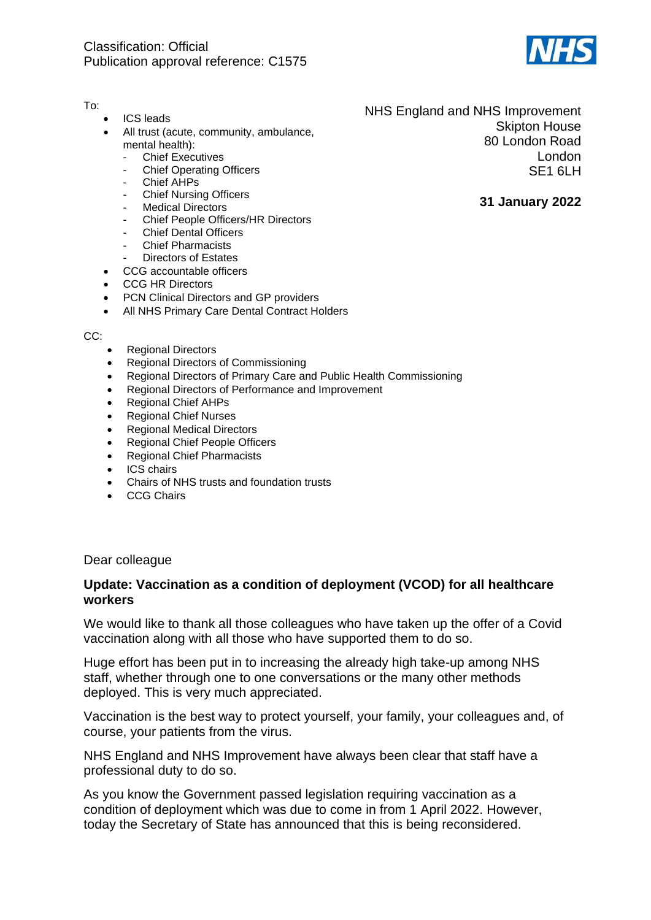

## To:

- ICS leads
- All trust (acute, community, ambulance, mental health):
	- **Chief Executives**
	- **Chief Operating Officers**
	- Chief AHPs
	- **Chief Nursing Officers**
	- **Medical Directors**
	- Chief People Officers/HR Directors
	- Chief Dental Officers
	- **Chief Pharmacists**
	- Directors of Estates
- CCG accountable officers
- CCG HR Directors
- PCN Clinical Directors and GP providers
- All NHS Primary Care Dental Contract Holders

CC:

- Regional Directors
- Regional Directors of Commissioning
- Regional Directors of Primary Care and Public Health Commissioning
- Regional Directors of Performance and Improvement
- Regional Chief AHPs
- Regional Chief Nurses
- Regional Medical Directors
- Regional Chief People Officers
- Regional Chief Pharmacists
- ICS chairs
- Chairs of NHS trusts and foundation trusts
- CCG Chairs

Dear colleague

## **Update: Vaccination as a condition of deployment (VCOD) for all healthcare workers**

We would like to thank all those colleagues who have taken up the offer of a Covid vaccination along with all those who have supported them to do so.

Huge effort has been put in to increasing the already high take-up among NHS staff, whether through one to one conversations or the many other methods deployed. This is very much appreciated.

Vaccination is the best way to protect yourself, your family, your colleagues and, of course, your patients from the virus.

NHS England and NHS Improvement have always been clear that staff have a professional duty to do so.

As you know the Government passed legislation requiring vaccination as a condition of deployment which was due to come in from 1 April 2022. However, today the Secretary of State has announced that this is being reconsidered.

NHS England and NHS Improvement Skipton House 80 London Road London SE1 6LH

## **31 January 2022**